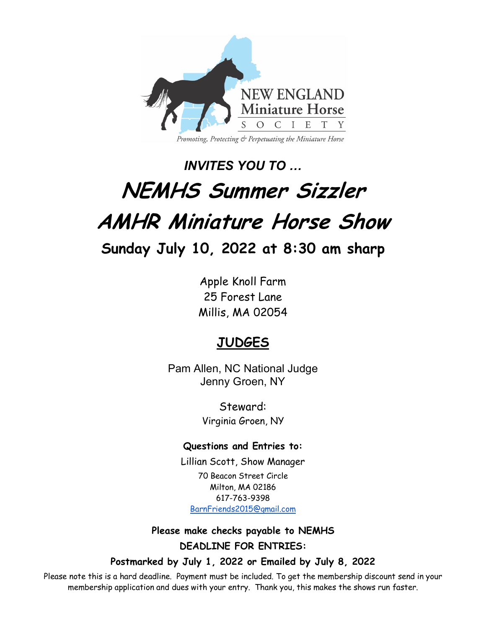

# *INVITES YOU TO …*  **NEMHS Summer Sizzler AMHR Miniature Horse Show Sunday July 10, 2022 at 8:30 am sharp**

Apple Knoll Farm 25 Forest Lane Millis, MA 02054

## **JUDGES**

Pam Allen, NC National Judge Jenny Groen, NY

> Steward: Virginia Groen, NY

### **Questions and Entries to:**

Lillian Scott, Show Manager 70 Beacon Street Circle Milton, MA 02186 617-763-9398 BarnFriends2015@gmail.com

**Please make checks payable to NEMHS DEADLINE FOR ENTRIES:**

**Postmarked by July 1, 2022 or Emailed by July 8, 2022**

Please note this is a hard deadline. Payment must be included. To get the membership discount send in your membership application and dues with your entry. Thank you, this makes the shows run faster.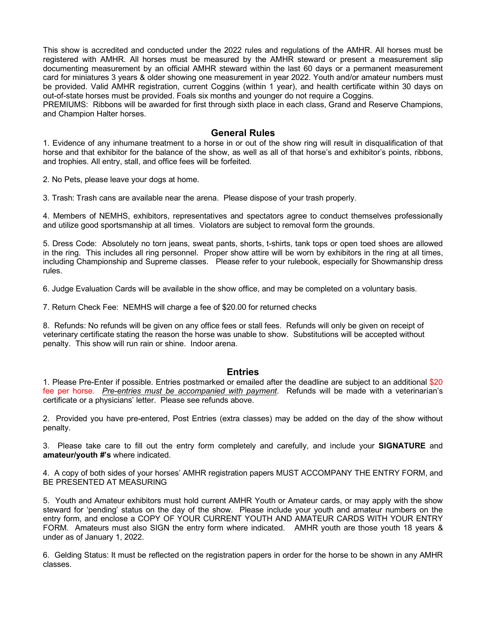This show is accredited and conducted under the 2022 rules and regulations of the AMHR. All horses must be registered with AMHR. All horses must be measured by the AMHR steward or present a measurement slip documenting measurement by an official AMHR steward within the last 60 days or a permanent measurement card for miniatures 3 years & older showing one measurement in year 2022. Youth and/or amateur numbers must be provided. Valid AMHR registration, current Coggins (within 1 year), and health certificate within 30 days on out-of-state horses must be provided. Foals six months and younger do not require a Coggins.

PREMIUMS: Ribbons will be awarded for first through sixth place in each class, Grand and Reserve Champions, and Champion Halter horses.

#### **General Rules**

1. Evidence of any inhumane treatment to a horse in or out of the show ring will result in disqualification of that horse and that exhibitor for the balance of the show, as well as all of that horse's and exhibitor's points, ribbons, and trophies. All entry, stall, and office fees will be forfeited.

2. No Pets, please leave your dogs at home.

3. Trash: Trash cans are available near the arena. Please dispose of your trash properly.

4. Members of NEMHS, exhibitors, representatives and spectators agree to conduct themselves professionally and utilize good sportsmanship at all times. Violators are subject to removal form the grounds.

5. Dress Code: Absolutely no torn jeans, sweat pants, shorts, t-shirts, tank tops or open toed shoes are allowed in the ring. This includes all ring personnel. Proper show attire will be worn by exhibitors in the ring at all times, including Championship and Supreme classes. Please refer to your rulebook, especially for Showmanship dress rules.

6. Judge Evaluation Cards will be available in the show office, and may be completed on a voluntary basis.

7. Return Check Fee: NEMHS will charge a fee of \$20.00 for returned checks

8. Refunds: No refunds will be given on any office fees or stall fees. Refunds will only be given on receipt of veterinary certificate stating the reason the horse was unable to show. Substitutions will be accepted without penalty. This show will run rain or shine. Indoor arena.

#### **Entries**

1. Please Pre-Enter if possible. Entries postmarked or emailed after the deadline are subject to an additional \$20 fee per horse. *Pre-entries must be accompanied with payment*. Refunds will be made with a veterinarian's certificate or a physicians' letter. Please see refunds above.

2. Provided you have pre-entered, Post Entries (extra classes) may be added on the day of the show without penalty.

3. Please take care to fill out the entry form completely and carefully, and include your **SIGNATURE** and **amateur/youth #'s** where indicated.

4. A copy of both sides of your horses' AMHR registration papers MUST ACCOMPANY THE ENTRY FORM, and BE PRESENTED AT MEASURING

5. Youth and Amateur exhibitors must hold current AMHR Youth or Amateur cards, or may apply with the show steward for 'pending' status on the day of the show. Please include your youth and amateur numbers on the entry form, and enclose a COPY OF YOUR CURRENT YOUTH AND AMATEUR CARDS WITH YOUR ENTRY FORM. Amateurs must also SIGN the entry form where indicated. AMHR youth are those youth 18 years & under as of January 1, 2022.

6. Gelding Status: It must be reflected on the registration papers in order for the horse to be shown in any AMHR classes.